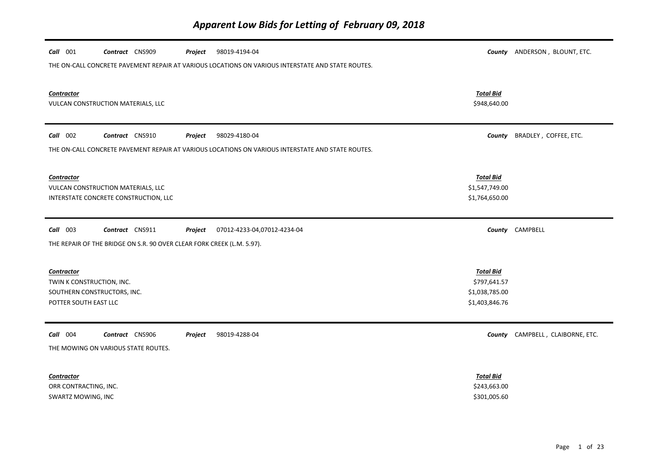| Call 001<br>Contract CNS909<br>98019-4194-04<br>Project                                                |                                                                      | County ANDERSON, BLOUNT, ETC.    |
|--------------------------------------------------------------------------------------------------------|----------------------------------------------------------------------|----------------------------------|
| THE ON-CALL CONCRETE PAVEMENT REPAIR AT VARIOUS LOCATIONS ON VARIOUS INTERSTATE AND STATE ROUTES.      |                                                                      |                                  |
| <b>Contractor</b><br>VULCAN CONSTRUCTION MATERIALS, LLC                                                | <b>Total Bid</b><br>\$948,640.00                                     |                                  |
| Call 002<br>Contract CNS910<br>98029-4180-04<br>Project                                                | County                                                               | BRADLEY, COFFEE, ETC.            |
| THE ON-CALL CONCRETE PAVEMENT REPAIR AT VARIOUS LOCATIONS ON VARIOUS INTERSTATE AND STATE ROUTES.      |                                                                      |                                  |
| <b>Contractor</b><br>VULCAN CONSTRUCTION MATERIALS, LLC<br>INTERSTATE CONCRETE CONSTRUCTION, LLC       | <b>Total Bid</b><br>\$1,547,749.00<br>\$1,764,650.00                 |                                  |
| $Call$ 003<br>Contract CNS911<br>Project<br>07012-4233-04,07012-4234-04                                |                                                                      | County CAMPBELL                  |
| THE REPAIR OF THE BRIDGE ON S.R. 90 OVER CLEAR FORK CREEK (L.M. 5.97).                                 |                                                                      |                                  |
| <b>Contractor</b><br>TWIN K CONSTRUCTION, INC.<br>SOUTHERN CONSTRUCTORS, INC.<br>POTTER SOUTH EAST LLC | <b>Total Bid</b><br>\$797,641.57<br>\$1,038,785.00<br>\$1,403,846.76 |                                  |
| Call 004<br>Contract CNS906<br>98019-4288-04<br>Project<br>THE MOWING ON VARIOUS STATE ROUTES.         |                                                                      | County CAMPBELL, CLAIBORNE, ETC. |
| <b>Contractor</b><br>ORR CONTRACTING, INC.<br>SWARTZ MOWING, INC                                       | <b>Total Bid</b><br>\$243,663.00<br>\$301,005.60                     |                                  |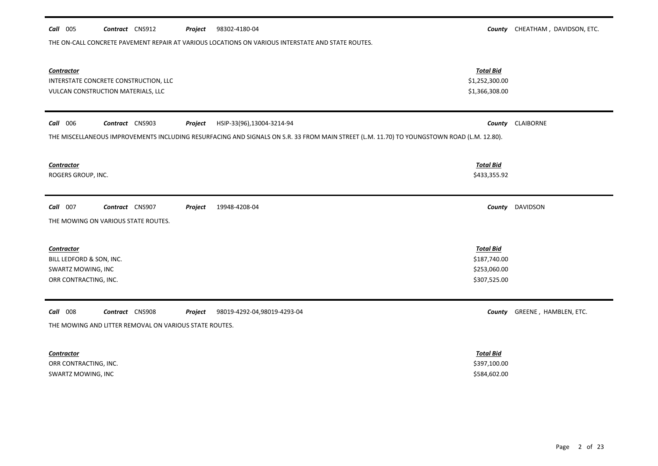| Call 005                 | Contract CNS912                                                             | Project | 98302-4180-04                                                                                                                              |                                  | County CHEATHAM, DAVIDSON, ETC. |
|--------------------------|-----------------------------------------------------------------------------|---------|--------------------------------------------------------------------------------------------------------------------------------------------|----------------------------------|---------------------------------|
|                          |                                                                             |         | THE ON-CALL CONCRETE PAVEMENT REPAIR AT VARIOUS LOCATIONS ON VARIOUS INTERSTATE AND STATE ROUTES.                                          |                                  |                                 |
|                          |                                                                             |         |                                                                                                                                            |                                  |                                 |
|                          |                                                                             |         |                                                                                                                                            |                                  |                                 |
| <b>Contractor</b>        |                                                                             |         |                                                                                                                                            | <b>Total Bid</b>                 |                                 |
|                          | INTERSTATE CONCRETE CONSTRUCTION, LLC<br>VULCAN CONSTRUCTION MATERIALS, LLC |         |                                                                                                                                            | \$1,252,300.00<br>\$1,366,308.00 |                                 |
|                          |                                                                             |         |                                                                                                                                            |                                  |                                 |
|                          |                                                                             |         |                                                                                                                                            |                                  |                                 |
| Call 006                 | Contract CNS903                                                             | Project | HSIP-33(96),13004-3214-94                                                                                                                  |                                  | County CLAIBORNE                |
|                          |                                                                             |         | THE MISCELLANEOUS IMPROVEMENTS INCLUDING RESURFACING AND SIGNALS ON S.R. 33 FROM MAIN STREET (L.M. 11.70) TO YOUNGSTOWN ROAD (L.M. 12.80). |                                  |                                 |
|                          |                                                                             |         |                                                                                                                                            |                                  |                                 |
| <b>Contractor</b>        |                                                                             |         |                                                                                                                                            | <b>Total Bid</b>                 |                                 |
| ROGERS GROUP, INC.       |                                                                             |         |                                                                                                                                            | \$433,355.92                     |                                 |
|                          |                                                                             |         |                                                                                                                                            |                                  |                                 |
| Call 007                 | Contract CNS907                                                             |         | 19948-4208-04                                                                                                                              |                                  | <b>DAVIDSON</b>                 |
|                          |                                                                             | Project |                                                                                                                                            | County                           |                                 |
|                          | THE MOWING ON VARIOUS STATE ROUTES.                                         |         |                                                                                                                                            |                                  |                                 |
|                          |                                                                             |         |                                                                                                                                            |                                  |                                 |
| Contractor               |                                                                             |         |                                                                                                                                            | <b>Total Bid</b>                 |                                 |
| BILL LEDFORD & SON, INC. |                                                                             |         |                                                                                                                                            | \$187,740.00                     |                                 |
| SWARTZ MOWING, INC       |                                                                             |         |                                                                                                                                            | \$253,060.00                     |                                 |
| ORR CONTRACTING, INC.    |                                                                             |         |                                                                                                                                            | \$307,525.00                     |                                 |
|                          |                                                                             |         |                                                                                                                                            |                                  |                                 |
| Call 008                 | Contract CNS908                                                             | Project | 98019-4292-04,98019-4293-04                                                                                                                | County                           | GREENE, HAMBLEN, ETC.           |
|                          | THE MOWING AND LITTER REMOVAL ON VARIOUS STATE ROUTES.                      |         |                                                                                                                                            |                                  |                                 |
|                          |                                                                             |         |                                                                                                                                            |                                  |                                 |
| <b>Contractor</b>        |                                                                             |         |                                                                                                                                            | <b>Total Bid</b>                 |                                 |
| ORR CONTRACTING, INC.    |                                                                             |         |                                                                                                                                            | \$397,100.00                     |                                 |
| SWARTZ MOWING, INC       |                                                                             |         |                                                                                                                                            | \$584,602.00                     |                                 |
|                          |                                                                             |         |                                                                                                                                            |                                  |                                 |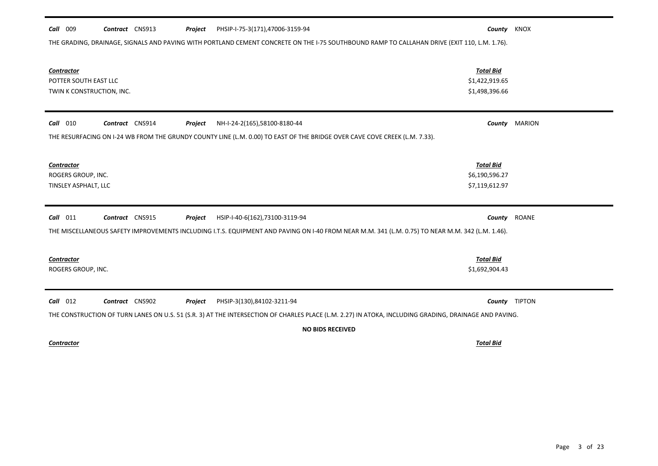| Call 009<br>Contract CNS913<br>PHSIP-I-75-3(171),47006-3159-94<br>Project                                                                             | County KNOX                                          |               |
|-------------------------------------------------------------------------------------------------------------------------------------------------------|------------------------------------------------------|---------------|
| THE GRADING, DRAINAGE, SIGNALS AND PAVING WITH PORTLAND CEMENT CONCRETE ON THE 1-75 SOUTHBOUND RAMP TO CALLAHAN DRIVE (EXIT 110, L.M. 1.76).          |                                                      |               |
| Contractor<br>POTTER SOUTH EAST LLC<br>TWIN K CONSTRUCTION, INC.                                                                                      | <b>Total Bid</b><br>\$1,422,919.65<br>\$1,498,396.66 |               |
| Contract CNS914<br>$Call$ 010<br>NH-I-24-2(165),58100-8180-44<br>Project                                                                              |                                                      | County MARION |
| THE RESURFACING ON I-24 WB FROM THE GRUNDY COUNTY LINE (L.M. 0.00) TO EAST OF THE BRIDGE OVER CAVE COVE CREEK (L.M. 7.33).                            |                                                      |               |
| Contractor<br>ROGERS GROUP, INC.<br>TINSLEY ASPHALT, LLC                                                                                              | <b>Total Bid</b><br>\$6,190,596.27<br>\$7,119,612.97 |               |
| Contract CNS915<br>$Call$ 011<br>Project<br>HSIP-I-40-6(162),73100-3119-94                                                                            |                                                      | County ROANE  |
| THE MISCELLANEOUS SAFETY IMPROVEMENTS INCLUDING I.T.S. EQUIPMENT AND PAVING ON I-40 FROM NEAR M.M. 341 (L.M. 0.75) TO NEAR M.M. 342 (L.M. 1.46).      |                                                      |               |
| <b>Contractor</b><br>ROGERS GROUP, INC.                                                                                                               | <b>Total Bid</b><br>\$1,692,904.43                   |               |
| Contract CNS902<br>$Call$ 012<br>Project<br>PHSIP-3(130),84102-3211-94                                                                                |                                                      | County TIPTON |
| THE CONSTRUCTION OF TURN LANES ON U.S. 51 (S.R. 3) AT THE INTERSECTION OF CHARLES PLACE (L.M. 2.27) IN ATOKA, INCLUDING GRADING, DRAINAGE AND PAVING. |                                                      |               |
| <b>NO BIDS RECEIVED</b>                                                                                                                               |                                                      |               |

*Contractor Total Bid*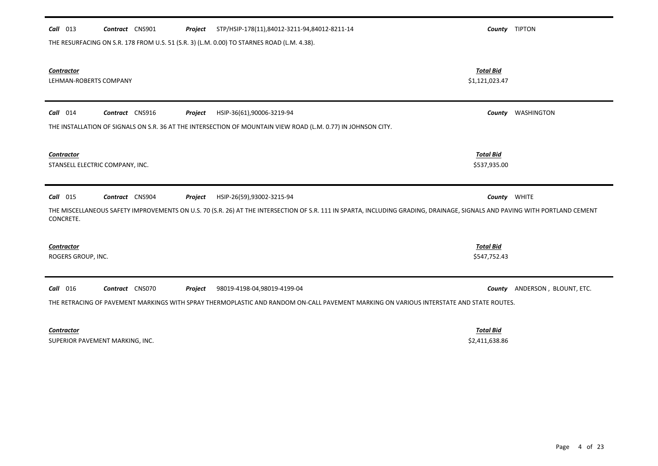# *Contractor Total Bid* LEHMAN-ROBERTS COMPANY \$1,121,023.47 *Call* 014 *Contract* CNS916 *Project County* WASHINGTON HSIP-36(61),90006-3219-94 THE INSTALLATION OF SIGNALS ON S.R. 36 AT THE INTERSECTION OF MOUNTAIN VIEW ROAD (L.M. 0.77) IN JOHNSON CITY. *Contractor Total Bid* STANSELL ELECTRIC COMPANY, INC.  $$537,935.00$ *Call* 015 *Contract* CNS904 *Project County* WHITE HSIP-26(59),93002-3215-94 THE MISCELLANEOUS SAFETY IMPROVEMENTS ON U.S. 70 (S.R. 26) AT THE INTERSECTION OF S.R. 111 IN SPARTA, INCLUDING GRADING, DRAINAGE, SIGNALS AND PAVING WITH PORTLAND CEMENT CONCRETE. *Contractor Total Bid* ROGERS GROUP, INC. \$547,752.43 *Call* 016 *Contract* CNS070 *Project County* ANDERSON , BLOUNT, ETC. THE RETRACING OF PAVEMENT MARKINGS WITH SPRAY THERMOPLASTIC AND RANDOM ON-CALL PAVEMENT MARKING ON VARIOUS INTERSTATE AND STATE ROUTES. 98019-4198-04,98019-4199-04

*Call* 013 *Contract* CNS901 *Project County* TIPTON STP/HSIP-178(11),84012-3211-94,84012-8211-14

THE RESURFACING ON S.R. 178 FROM U.S. 51 (S.R. 3) (L.M. 0.00) TO STARNES ROAD (L.M. 4.38).

*Contractor Total Bid*

SUPERIOR PAVEMENT MARKING, INC. SERVICES AND SUPERIOR PAVEMENT MARKING, INC.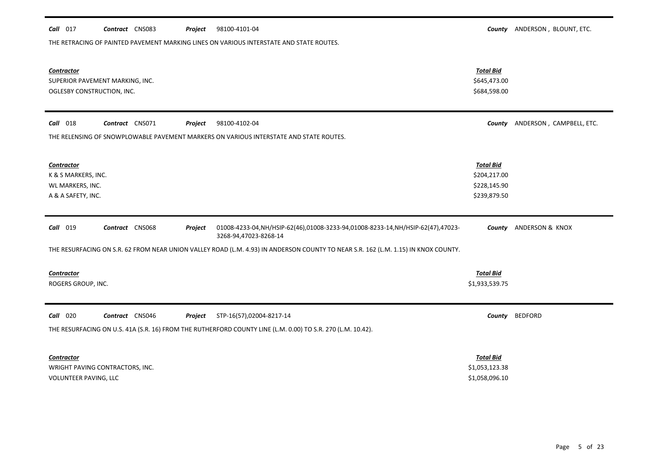| 98100-4101-04<br>Call 017<br>Contract CNS083<br>Project                                                                                                       |                                  | County ANDERSON, BLOUNT, ETC. |
|---------------------------------------------------------------------------------------------------------------------------------------------------------------|----------------------------------|-------------------------------|
| THE RETRACING OF PAINTED PAVEMENT MARKING LINES ON VARIOUS INTERSTATE AND STATE ROUTES.                                                                       |                                  |                               |
|                                                                                                                                                               |                                  |                               |
|                                                                                                                                                               |                                  |                               |
| <b>Contractor</b><br>SUPERIOR PAVEMENT MARKING, INC.                                                                                                          | <b>Total Bid</b><br>\$645,473.00 |                               |
| OGLESBY CONSTRUCTION, INC.                                                                                                                                    | \$684,598.00                     |                               |
|                                                                                                                                                               |                                  |                               |
|                                                                                                                                                               |                                  |                               |
| $Call$ 018<br>Contract CNS071<br>98100-4102-04<br>Project                                                                                                     | County                           | ANDERSON, CAMPBELL, ETC.      |
| THE RELENSING OF SNOWPLOWABLE PAVEMENT MARKERS ON VARIOUS INTERSTATE AND STATE ROUTES.                                                                        |                                  |                               |
|                                                                                                                                                               |                                  |                               |
| <b>Contractor</b>                                                                                                                                             | <b>Total Bid</b>                 |                               |
| K & S MARKERS, INC.                                                                                                                                           | \$204,217.00                     |                               |
| WL MARKERS, INC.                                                                                                                                              | \$228,145.90                     |                               |
| A & A SAFETY, INC.                                                                                                                                            | \$239,879.50                     |                               |
|                                                                                                                                                               |                                  |                               |
| Contract CNS068<br><b>Call</b> 019<br>01008-4233-04, NH/HSIP-62(46), 01008-3233-94, 01008-8233-14, NH/HSIP-62(47), 47023-<br>Project<br>3268-94,47023-8268-14 | County                           | ANDERSON & KNOX               |
| THE RESURFACING ON S.R. 62 FROM NEAR UNION VALLEY ROAD (L.M. 4.93) IN ANDERSON COUNTY TO NEAR S.R. 162 (L.M. 1.15) IN KNOX COUNTY.                            |                                  |                               |
|                                                                                                                                                               |                                  |                               |
| <b>Contractor</b>                                                                                                                                             | <b>Total Bid</b>                 |                               |
| ROGERS GROUP, INC.                                                                                                                                            | \$1,933,539.75                   |                               |
|                                                                                                                                                               |                                  |                               |
| <b>Call</b> 020<br>Contract CNS046<br>STP-16(57),02004-8217-14<br>Project                                                                                     | County                           | <b>BEDFORD</b>                |
|                                                                                                                                                               |                                  |                               |
| THE RESURFACING ON U.S. 41A (S.R. 16) FROM THE RUTHERFORD COUNTY LINE (L.M. 0.00) TO S.R. 270 (L.M. 10.42).                                                   |                                  |                               |
|                                                                                                                                                               |                                  |                               |
| <b>Contractor</b>                                                                                                                                             | <b>Total Bid</b>                 |                               |
| WRIGHT PAVING CONTRACTORS, INC.<br>VOLUNTEER PAVING, LLC                                                                                                      | \$1,053,123.38<br>\$1,058,096.10 |                               |
|                                                                                                                                                               |                                  |                               |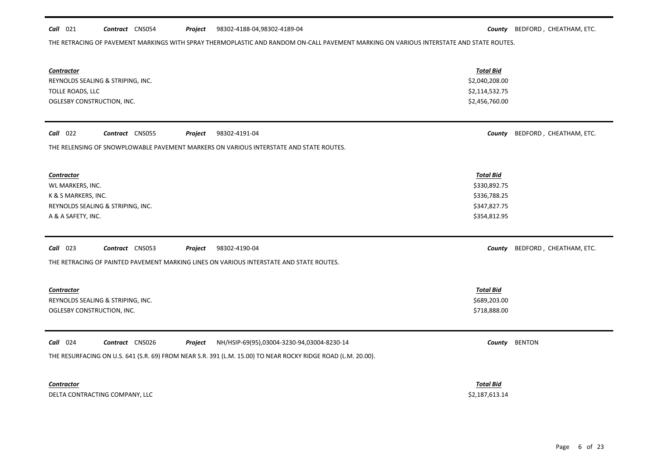#### **Call** 021 **Contract** CNS054 **Project** 98302-4188-04,98302-4189-04 **County BEDFORD**, CHEATHAM, ETC. 98302-4188-04,98302-4189-04

THE RETRACING OF PAVEMENT MARKINGS WITH SPRAY THERMOPLASTIC AND RANDOM ON-CALL PAVEMENT MARKING ON VARIOUS INTERSTATE AND STATE ROUTES.

| <b>Contractor</b><br>REYNOLDS SEALING & STRIPING, INC.<br>TOLLE ROADS, LLC<br>OGLESBY CONSTRUCTION, INC.                                                                                             | <b>Total Bid</b><br>\$2,040,208.00<br>\$2,114,532.75<br>\$2,456,760.00           |                         |
|------------------------------------------------------------------------------------------------------------------------------------------------------------------------------------------------------|----------------------------------------------------------------------------------|-------------------------|
| Call 022<br>Contract CNS055<br>98302-4191-04<br>Project<br>THE RELENSING OF SNOWPLOWABLE PAVEMENT MARKERS ON VARIOUS INTERSTATE AND STATE ROUTES.                                                    | County                                                                           | BEDFORD, CHEATHAM, ETC. |
| <b>Contractor</b><br>WL MARKERS, INC.<br>K & S MARKERS, INC.<br>REYNOLDS SEALING & STRIPING, INC.<br>A & A SAFETY, INC.                                                                              | <b>Total Bid</b><br>\$330,892.75<br>\$336,788.25<br>\$347,827.75<br>\$354,812.95 |                         |
| $Call$ 023<br>Contract CNS053<br>98302-4190-04<br>Project<br>THE RETRACING OF PAINTED PAVEMENT MARKING LINES ON VARIOUS INTERSTATE AND STATE ROUTES.                                                 | County                                                                           | BEDFORD, CHEATHAM, ETC. |
| <b>Contractor</b><br>REYNOLDS SEALING & STRIPING, INC.<br>OGLESBY CONSTRUCTION, INC.                                                                                                                 | <b>Total Bid</b><br>\$689,203.00<br>\$718,888.00                                 |                         |
| Call 024<br>Contract CNS026<br>NH/HSIP-69(95),03004-3230-94,03004-8230-14<br>Project<br>THE RESURFACING ON U.S. 641 (S.R. 69) FROM NEAR S.R. 391 (L.M. 15.00) TO NEAR ROCKY RIDGE ROAD (L.M. 20.00). |                                                                                  | County BENTON           |
| Contractor<br>DELTA CONTRACTING COMPANY, LLC                                                                                                                                                         | <b>Total Bid</b><br>\$2,187,613.14                                               |                         |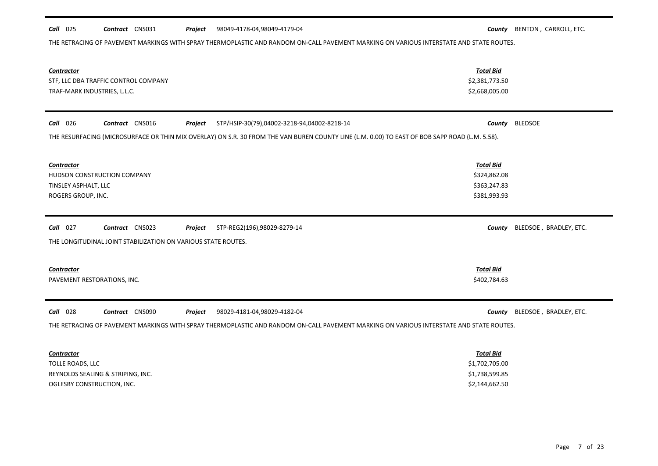## *Call* 025 *Contract* CNS031 *Project County* BENTON , CARROLL, ETC. 98049-4178-04,98049-4179-04

THE RETRACING OF PAVEMENT MARKINGS WITH SPRAY THERMOPLASTIC AND RANDOM ON-CALL PAVEMENT MARKING ON VARIOUS INTERSTATE AND STATE ROUTES.

| Contractor<br>STF, LLC DBA TRAFFIC CONTROL COMPANY<br>TRAF-MARK INDUSTRIES, L.L.C.                       |                                                                                                                                                                                   | <b>Total Bid</b><br>\$2,381,773.50<br>\$2,668,005.00                   |                        |
|----------------------------------------------------------------------------------------------------------|-----------------------------------------------------------------------------------------------------------------------------------------------------------------------------------|------------------------------------------------------------------------|------------------------|
| Call 026<br>Contract CNS016                                                                              | STP/HSIP-30(79),04002-3218-94,04002-8218-14<br>Project                                                                                                                            | County                                                                 | <b>BLEDSOE</b>         |
|                                                                                                          | THE RESURFACING (MICROSURFACE OR THIN MIX OVERLAY) ON S.R. 30 FROM THE VAN BUREN COUNTY LINE (L.M. 0.00) TO EAST OF BOB SAPP ROAD (L.M. 5.58).                                    |                                                                        |                        |
| <b>Contractor</b><br><b>HUDSON CONSTRUCTION COMPANY</b><br>TINSLEY ASPHALT, LLC<br>ROGERS GROUP, INC.    |                                                                                                                                                                                   | <b>Total Bid</b><br>\$324,862.08<br>\$363,247.83<br>\$381,993.93       |                        |
| Contract CNS023<br>$Call$ 027<br>THE LONGITUDINAL JOINT STABILIZATION ON VARIOUS STATE ROUTES.           | STP-REG2(196),98029-8279-14<br>Project                                                                                                                                            | County                                                                 | BLEDSOE, BRADLEY, ETC. |
| Contractor<br>PAVEMENT RESTORATIONS, INC.                                                                |                                                                                                                                                                                   | <b>Total Bid</b><br>\$402,784.63                                       |                        |
| <b>Call</b> 028<br>Contract CNS090                                                                       | Project<br>98029-4181-04,98029-4182-04<br>THE RETRACING OF PAVEMENT MARKINGS WITH SPRAY THERMOPLASTIC AND RANDOM ON-CALL PAVEMENT MARKING ON VARIOUS INTERSTATE AND STATE ROUTES. | County                                                                 | BLEDSOE, BRADLEY, ETC. |
| <b>Contractor</b><br>TOLLE ROADS, LLC<br>REYNOLDS SEALING & STRIPING, INC.<br>OGLESBY CONSTRUCTION, INC. |                                                                                                                                                                                   | <b>Total Bid</b><br>\$1,702,705.00<br>\$1,738,599.85<br>\$2,144,662.50 |                        |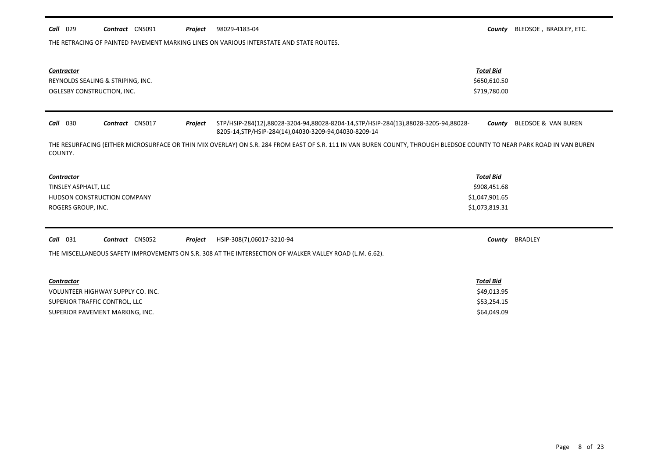|  | <i>Call</i> 029 | <b>Contract</b> CNS091 |  |  | <b>Project</b> 98029-4183-04 |
|--|-----------------|------------------------|--|--|------------------------------|
|--|-----------------|------------------------|--|--|------------------------------|

THE RETRACING OF PAINTED PAVEMENT MARKING LINES ON VARIOUS INTERSTATE AND STATE ROUTES.

| <b>Contractor</b><br>REYNOLDS SEALING & STRIPING, INC.<br>OGLESBY CONSTRUCTION, INC.                     | <b>Total Bid</b><br>\$650,610.50<br>\$719,780.00                                                                                                                       |
|----------------------------------------------------------------------------------------------------------|------------------------------------------------------------------------------------------------------------------------------------------------------------------------|
| Contract CNS017<br><b>Call</b> 030<br>Project<br>8205-14, STP/HSIP-284(14), 04030-3209-94, 04030-8209-14 | STP/HSIP-284(12),88028-3204-94,88028-8204-14,STP/HSIP-284(13),88028-3205-94,88028-<br>BLEDSOE & VAN BUREN<br>County                                                    |
| COUNTY.                                                                                                  | THE RESURFACING (EITHER MICROSURFACE OR THIN MIX OVERLAY) ON S.R. 284 FROM EAST OF S.R. 111 IN VAN BUREN COUNTY, THROUGH BLEDSOE COUNTY TO NEAR PARK ROAD IN VAN BUREN |
| Contractor                                                                                               | <b>Total Bid</b>                                                                                                                                                       |
| TINSLEY ASPHALT, LLC                                                                                     | \$908,451.68                                                                                                                                                           |
| <b>HUDSON CONSTRUCTION COMPANY</b>                                                                       | \$1,047,901.65                                                                                                                                                         |
| ROGERS GROUP, INC.                                                                                       | \$1,073,819.31                                                                                                                                                         |
| Call 031<br>Contract CNS052<br>Project<br>HSIP-308(7),06017-3210-94                                      | BRADLEY<br>County                                                                                                                                                      |
| THE MISCELLANEOUS SAFETY IMPROVEMENTS ON S.R. 308 AT THE INTERSECTION OF WALKER VALLEY ROAD (L.M. 6.62). |                                                                                                                                                                        |
| Contractor                                                                                               | <b>Total Bid</b>                                                                                                                                                       |
| VOLUNTEER HIGHWAY SUPPLY CO. INC.                                                                        | \$49,013.95                                                                                                                                                            |
| SUPERIOR TRAFFIC CONTROL, LLC                                                                            | \$53,254.15                                                                                                                                                            |
| SUPERIOR PAVEMENT MARKING, INC.                                                                          | \$64,049.09                                                                                                                                                            |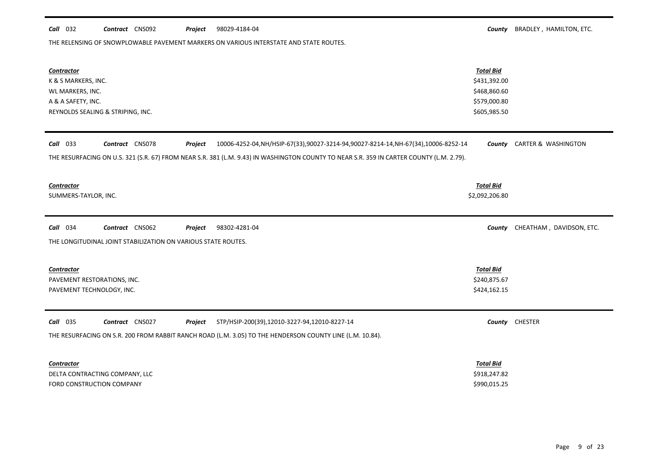#### **Call** 032 **Contract** CNS092 **Project** 98029-4184-04 **County BRADLEY**, HAMILTON, ETC. 98029-4184-04

THE RELENSING OF SNOWPLOWABLE PAVEMENT MARKERS ON VARIOUS INTERSTATE AND STATE ROUTES.

| <b>Contractor</b><br>K & S MARKERS, INC.<br>WL MARKERS, INC.<br>A & A SAFETY, INC.<br>REYNOLDS SEALING & STRIPING, INC.                                                                                                                                                            | <b>Total Bid</b><br>\$431,392.00<br>\$468,860.60<br>\$579,000.80<br>\$605,985.50 |                                 |
|------------------------------------------------------------------------------------------------------------------------------------------------------------------------------------------------------------------------------------------------------------------------------------|----------------------------------------------------------------------------------|---------------------------------|
| <b>Call</b> 033<br>Contract CNS078<br>Project<br>10006-4252-04, NH/HSIP-67(33), 90027-3214-94, 90027-8214-14, NH-67(34), 10006-8252-14<br>THE RESURFACING ON U.S. 321 (S.R. 67) FROM NEAR S.R. 381 (L.M. 9.43) IN WASHINGTON COUNTY TO NEAR S.R. 359 IN CARTER COUNTY (L.M. 2.79). | County                                                                           | CARTER & WASHINGTON             |
| Contractor<br>SUMMERS-TAYLOR, INC.                                                                                                                                                                                                                                                 | <b>Total Bid</b><br>\$2,092,206.80                                               |                                 |
| Call 034<br>Contract CNS062<br>98302-4281-04<br>Project<br>THE LONGITUDINAL JOINT STABILIZATION ON VARIOUS STATE ROUTES.                                                                                                                                                           |                                                                                  | County CHEATHAM, DAVIDSON, ETC. |
| <b>Contractor</b><br>PAVEMENT RESTORATIONS, INC.<br>PAVEMENT TECHNOLOGY, INC.                                                                                                                                                                                                      | <b>Total Bid</b><br>\$240,875.67<br>\$424,162.15                                 |                                 |
| <b>Call</b> 035<br>Contract CNS027<br>Project<br>STP/HSIP-200(39),12010-3227-94,12010-8227-14<br>THE RESURFACING ON S.R. 200 FROM RABBIT RANCH ROAD (L.M. 3.05) TO THE HENDERSON COUNTY LINE (L.M. 10.84).                                                                         |                                                                                  | County CHESTER                  |
| <b>Contractor</b><br>DELTA CONTRACTING COMPANY, LLC<br>FORD CONSTRUCTION COMPANY                                                                                                                                                                                                   | <b>Total Bid</b><br>\$918,247.82<br>\$990,015.25                                 |                                 |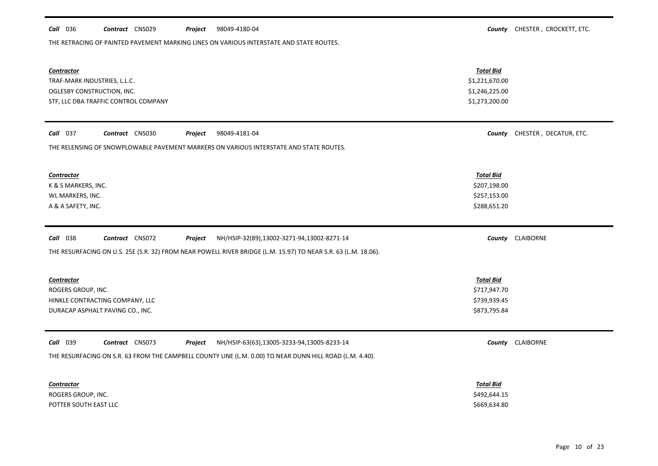| <i>Call</i> 036 |  | <b>Contract</b> CNS029 | Project | 98049-4180-04 | County |  | CHESTER . CROCKETT. ETC. |
|-----------------|--|------------------------|---------|---------------|--------|--|--------------------------|
|-----------------|--|------------------------|---------|---------------|--------|--|--------------------------|

THE RETRACING OF PAINTED PAVEMENT MARKING LINES ON VARIOUS INTERSTATE AND STATE ROUTES.

| <b>Contractor</b><br>TRAF-MARK INDUSTRIES, L.L.C.<br>OGLESBY CONSTRUCTION, INC.<br>STF, LLC DBA TRAFFIC CONTROL COMPANY | <b>Total Bid</b><br>\$1,221,670.00<br>\$1,246,225.00<br>\$1,273,200.00 |                               |
|-------------------------------------------------------------------------------------------------------------------------|------------------------------------------------------------------------|-------------------------------|
| Call 037<br>Contract CNS030<br>98049-4181-04<br>Project                                                                 |                                                                        | County CHESTER, DECATUR, ETC. |
| THE RELENSING OF SNOWPLOWABLE PAVEMENT MARKERS ON VARIOUS INTERSTATE AND STATE ROUTES.                                  |                                                                        |                               |
| <b>Contractor</b>                                                                                                       | <b>Total Bid</b>                                                       |                               |
| K & S MARKERS, INC.                                                                                                     | \$207,198.00                                                           |                               |
| WL MARKERS, INC.                                                                                                        | \$257,153.00                                                           |                               |
| A & A SAFETY, INC.                                                                                                      | \$288,651.20                                                           |                               |
|                                                                                                                         |                                                                        |                               |
| Call 038<br>Contract CNS072<br>Project<br>NH/HSIP-32(89),13002-3271-94,13002-8271-14                                    |                                                                        | County CLAIBORNE              |
| THE RESURFACING ON U.S. 25E (S.R. 32) FROM NEAR POWELL RIVER BRIDGE (L.M. 15.97) TO NEAR S.R. 63 (L.M. 18.06).          |                                                                        |                               |
|                                                                                                                         |                                                                        |                               |
| <b>Contractor</b>                                                                                                       | <b>Total Bid</b>                                                       |                               |
| ROGERS GROUP, INC.                                                                                                      | \$717,947.70                                                           |                               |
| HINKLE CONTRACTING COMPANY, LLC                                                                                         | \$739,939.45                                                           |                               |
| DURACAP ASPHALT PAVING CO., INC.                                                                                        | \$873,795.84                                                           |                               |
| Call 039<br>Contract CNS073<br>NH/HSIP-63(63),13005-3233-94,13005-8233-14<br>Project                                    |                                                                        | County CLAIBORNE              |
|                                                                                                                         |                                                                        |                               |
| THE RESURFACING ON S.R. 63 FROM THE CAMPBELL COUNTY LINE (L.M. 0.00) TO NEAR DUNN HILL ROAD (L.M. 4.40).                |                                                                        |                               |
| <b>Contractor</b>                                                                                                       | <b>Total Bid</b>                                                       |                               |
| ROGERS GROUP, INC.                                                                                                      | \$492,644.15                                                           |                               |
| POTTER SOUTH EAST LLC                                                                                                   | \$669,634.80                                                           |                               |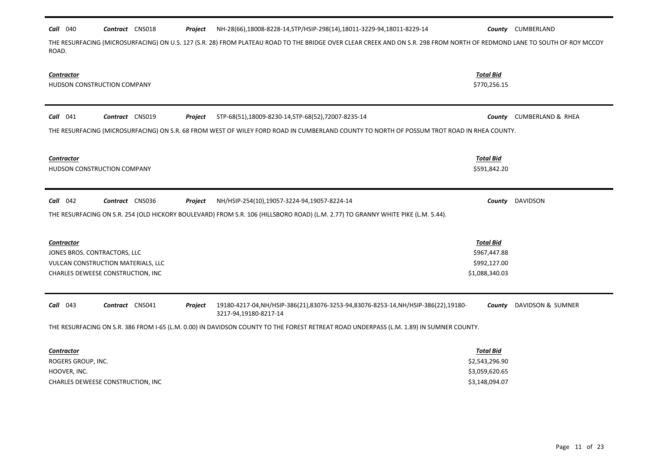| Call 040           | Contract CNS018                    | Project        | NH-28(66),18008-8228-14, STP/HSIP-298(14), 18011-3229-94, 18011-8229-14                                                                                                  |                  | <b>County</b> CUMBERLAND        |
|--------------------|------------------------------------|----------------|--------------------------------------------------------------------------------------------------------------------------------------------------------------------------|------------------|---------------------------------|
| ROAD.              |                                    |                | THE RESURFACING (MICROSURFACING) ON U.S. 127 (S.R. 28) FROM PLATEAU ROAD TO THE BRIDGE OVER CLEAR CREEK AND ON S.R. 298 FROM NORTH OF REDMOND LANE TO SOUTH OF ROY MCCOY |                  |                                 |
| <b>Contractor</b>  |                                    |                |                                                                                                                                                                          | <b>Total Bid</b> |                                 |
|                    | HUDSON CONSTRUCTION COMPANY        |                |                                                                                                                                                                          | \$770,256.15     |                                 |
| $Call$ 041         | Contract CNS019                    | Project        | STP-68(51),18009-8230-14,STP-68(52),72007-8235-14                                                                                                                        | County           | <b>CUMBERLAND &amp; RHEA</b>    |
|                    |                                    |                | THE RESURFACING (MICROSURFACING) ON S.R. 68 FROM WEST OF WILEY FORD ROAD IN CUMBERLAND COUNTY TO NORTH OF POSSUM TROT ROAD IN RHEA COUNTY.                               |                  |                                 |
| <b>Contractor</b>  |                                    |                |                                                                                                                                                                          | Total Bid        |                                 |
|                    | HUDSON CONSTRUCTION COMPANY        |                |                                                                                                                                                                          | \$591,842.20     |                                 |
| Call 042           | <b>Contract</b> CNS036             | Project        | NH/HSIP-254(10),19057-3224-94,19057-8224-14                                                                                                                              | County           | DAVIDSON                        |
|                    |                                    |                | THE RESURFACING ON S.R. 254 (OLD HICKORY BOULEVARD) FROM S.R. 106 (HILLSBORO ROAD) (L.M. 2.77) TO GRANNY WHITE PIKE (L.M. 5.44).                                         |                  |                                 |
| <b>Contractor</b>  |                                    |                |                                                                                                                                                                          | <b>Total Bid</b> |                                 |
|                    | JONES BROS. CONTRACTORS, LLC       |                |                                                                                                                                                                          | \$967,447.88     |                                 |
|                    | VULCAN CONSTRUCTION MATERIALS, LLC |                |                                                                                                                                                                          | \$992,127.00     |                                 |
|                    | CHARLES DEWEESE CONSTRUCTION, INC  |                |                                                                                                                                                                          | \$1,088,340.03   |                                 |
| $Call$ 043         | Contract CNS041                    | <b>Project</b> | 19180-4217-04, NH/HSIP-386(21), 83076-3253-94, 83076-8253-14, NH/HSIP-386(22), 19180-<br>3217-94,19180-8217-14                                                           |                  | <b>County</b> DAVIDSON & SUMNER |
|                    |                                    |                | THE RESURFACING ON S.R. 386 FROM I-65 (L.M. 0.00) IN DAVIDSON COUNTY TO THE FOREST RETREAT ROAD UNDERPASS (L.M. 1.89) IN SUMNER COUNTY.                                  |                  |                                 |
| <b>Contractor</b>  |                                    |                |                                                                                                                                                                          | Total Bid        |                                 |
| ROGERS GROUP, INC. |                                    |                |                                                                                                                                                                          | \$2,543,296.90   |                                 |
| HOOVER, INC.       |                                    |                |                                                                                                                                                                          | \$3,059,620.65   |                                 |
|                    | CHARLES DEWEESE CONSTRUCTION, INC  |                |                                                                                                                                                                          | \$3,148,094.07   |                                 |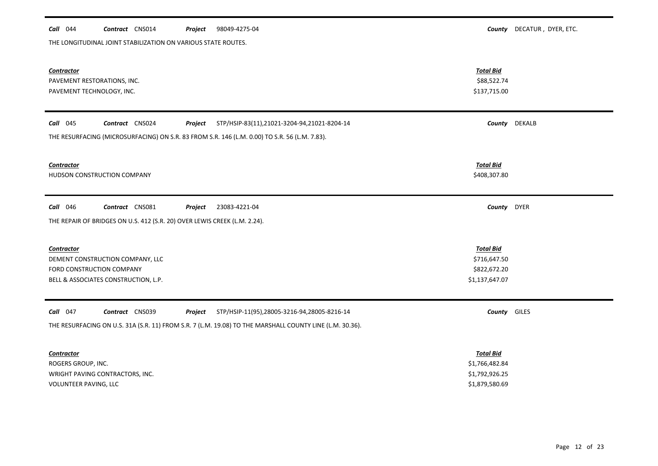#### **Call** 044 **Contract** CNS014 **Project** 98049-4275-04 **County County DECATUR**, DYER, ETC. Project 98049-4275-04

THE LONGITUDINAL JOINT STABILIZATION ON VARIOUS STATE ROUTES.

| Contractor<br>PAVEMENT RESTORATIONS, INC.<br>PAVEMENT TECHNOLOGY, INC.                                                                                                                              | <b>Total Bid</b><br>\$88,522.74<br>\$137,715.00                        |               |
|-----------------------------------------------------------------------------------------------------------------------------------------------------------------------------------------------------|------------------------------------------------------------------------|---------------|
| $Call$ 045<br>Contract CNS024<br>STP/HSIP-83(11),21021-3204-94,21021-8204-14<br>Project<br>THE RESURFACING (MICROSURFACING) ON S.R. 83 FROM S.R. 146 (L.M. 0.00) TO S.R. 56 (L.M. 7.83).            |                                                                        | County DEKALB |
| <b>Contractor</b><br>HUDSON CONSTRUCTION COMPANY                                                                                                                                                    | <b>Total Bid</b><br>\$408,307.80                                       |               |
| <b>Call</b> 046<br>Contract CNS081<br>Project<br>23083-4221-04<br>THE REPAIR OF BRIDGES ON U.S. 412 (S.R. 20) OVER LEWIS CREEK (L.M. 2.24).                                                         | County DYER                                                            |               |
| <b>Contractor</b><br>DEMENT CONSTRUCTION COMPANY, LLC<br>FORD CONSTRUCTION COMPANY<br>BELL & ASSOCIATES CONSTRUCTION, L.P.                                                                          | <b>Total Bid</b><br>\$716,647.50<br>\$822,672.20<br>\$1,137,647.07     |               |
| $Call$ 047<br>Contract CNS039<br>STP/HSIP-11(95),28005-3216-94,28005-8216-14<br>Project<br>THE RESURFACING ON U.S. 31A (S.R. 11) FROM S.R. 7 (L.M. 19.08) TO THE MARSHALL COUNTY LINE (L.M. 30.36). | County GILES                                                           |               |
| <b>Contractor</b><br>ROGERS GROUP, INC.<br>WRIGHT PAVING CONTRACTORS, INC.<br>VOLUNTEER PAVING, LLC                                                                                                 | <b>Total Bid</b><br>\$1,766,482.84<br>\$1,792,926.25<br>\$1,879,580.69 |               |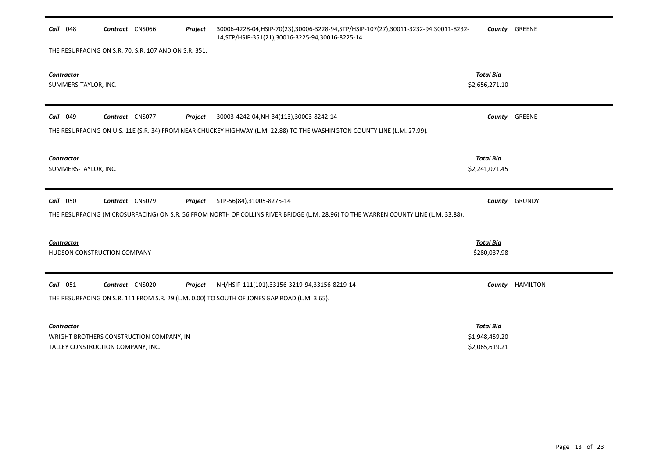| <b>Call</b> 048                                                               | Contract CNS066 | Project | 30006-4228-04, HSIP-70(23), 30006-3228-94, STP/HSIP-107(27), 30011-3232-94, 30011-8232-<br>14, STP/HSIP-351(21), 30016-3225-94, 30016-8225-14 |                                    | County GREENE   |
|-------------------------------------------------------------------------------|-----------------|---------|-----------------------------------------------------------------------------------------------------------------------------------------------|------------------------------------|-----------------|
| THE RESURFACING ON S.R. 70, S.R. 107 AND ON S.R. 351.                         |                 |         |                                                                                                                                               |                                    |                 |
| Contractor<br>SUMMERS-TAYLOR, INC.                                            |                 |         |                                                                                                                                               | <b>Total Bid</b><br>\$2,656,271.10 |                 |
| <b>Call</b> 049                                                               | Contract CNS077 | Project | 30003-4242-04, NH-34(113), 30003-8242-14                                                                                                      |                                    | County GREENE   |
|                                                                               |                 |         | THE RESURFACING ON U.S. 11E (S.R. 34) FROM NEAR CHUCKEY HIGHWAY (L.M. 22.88) TO THE WASHINGTON COUNTY LINE (L.M. 27.99).                      |                                    |                 |
| <b>Contractor</b>                                                             |                 |         |                                                                                                                                               | <b>Total Bid</b>                   |                 |
| SUMMERS-TAYLOR, INC.                                                          |                 |         |                                                                                                                                               | \$2,241,071.45                     |                 |
| Call 050                                                                      | Contract CNS079 | Project | STP-56(84),31005-8275-14                                                                                                                      |                                    | County GRUNDY   |
|                                                                               |                 |         | THE RESURFACING (MICROSURFACING) ON S.R. 56 FROM NORTH OF COLLINS RIVER BRIDGE (L.M. 28.96) TO THE WARREN COUNTY LINE (L.M. 33.88).           |                                    |                 |
|                                                                               |                 |         |                                                                                                                                               |                                    |                 |
| Contractor                                                                    |                 |         |                                                                                                                                               | <b>Total Bid</b>                   |                 |
| HUDSON CONSTRUCTION COMPANY                                                   |                 |         |                                                                                                                                               | \$280,037.98                       |                 |
| Call 051                                                                      | Contract CNS020 | Project | NH/HSIP-111(101),33156-3219-94,33156-8219-14                                                                                                  |                                    | County HAMILTON |
|                                                                               |                 |         | THE RESURFACING ON S.R. 111 FROM S.R. 29 (L.M. 0.00) TO SOUTH OF JONES GAP ROAD (L.M. 3.65).                                                  |                                    |                 |
| Contractor                                                                    |                 |         |                                                                                                                                               | <b>Total Bid</b>                   |                 |
| WRIGHT BROTHERS CONSTRUCTION COMPANY, IN<br>TALLEY CONSTRUCTION COMPANY, INC. |                 |         |                                                                                                                                               | \$1,948,459.20<br>\$2,065,619.21   |                 |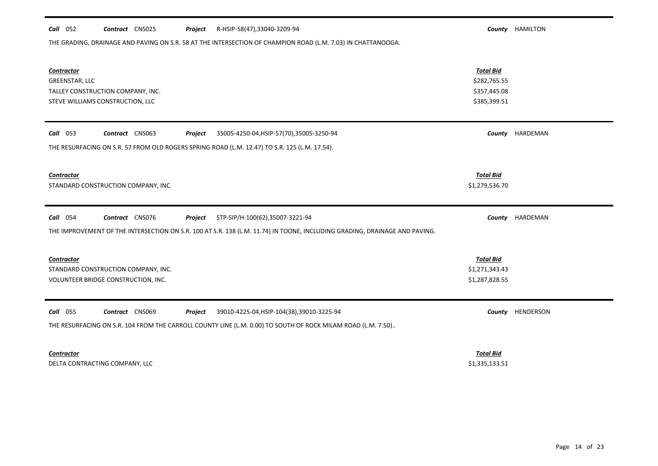| THE GRADING, DRAINAGE AND PAVING ON S.R. 58 AT THE INTERSECTION OF CHAMPION ROAD (L.M. 7.03) IN CHATTANOOGA.                                                                                                |                                                                  |           |
|-------------------------------------------------------------------------------------------------------------------------------------------------------------------------------------------------------------|------------------------------------------------------------------|-----------|
| <b>Contractor</b><br>GREENSTAR, LLC<br>TALLEY CONSTRUCTION COMPANY, INC.<br>STEVE WILLIAMS CONSTRUCTION, LLC                                                                                                | <b>Total Bid</b><br>\$282,765.55<br>\$357,445.08<br>\$385,399.51 |           |
| $Call$ 053<br>Contract CNS063<br>35005-4250-04, HSIP-57(70), 35005-3250-94<br>Project<br>THE RESURFACING ON S.R. 57 FROM OLD ROGERS SPRING ROAD (L.M. 12.47) TO S.R. 125 (L.M. 17.54).                      | County                                                           | HARDEMAN  |
| <b>Contractor</b><br>STANDARD CONSTRUCTION COMPANY, INC.                                                                                                                                                    | <b>Total Bid</b><br>\$1,279,536.70                               |           |
| Call 054<br>Contract CNS076<br>STP-SIP/H-100(62),35007-3221-94<br>Project<br>THE IMPROVEMENT OF THE INTERSECTION ON S.R. 100 AT S.R. 138 (L.M. 11.74) IN TOONE, INCLUDING GRADING, DRAINAGE AND PAVING.     | County                                                           | HARDEMAN  |
| <b>Contractor</b><br>STANDARD CONSTRUCTION COMPANY, INC.<br>VOLUNTEER BRIDGE CONSTRUCTION, INC.                                                                                                             | <b>Total Bid</b><br>\$1,271,343.43<br>\$1,287,828.55             |           |
| <b>Call</b> 055<br>Contract CNS069<br>39010-4225-04, HSIP-104(38), 39010-3225-94<br>Project<br>THE RESURFACING ON S.R. 104 FROM THE CARROLL COUNTY LINE (L.M. 0.00) TO SOUTH OF ROCK MILAM ROAD (L.M. 7.50) | County                                                           | HENDERSON |
| <b>Contractor</b>                                                                                                                                                                                           | <b>Total Bid</b>                                                 |           |

*Call* 052 *Contract* CNS025 *Project County* HAMILTON R-HSIP-58(47),33040-3209-94

DELTA CONTRACTING COMPANY, LLC \$1,335,133.51

Page 14 of 23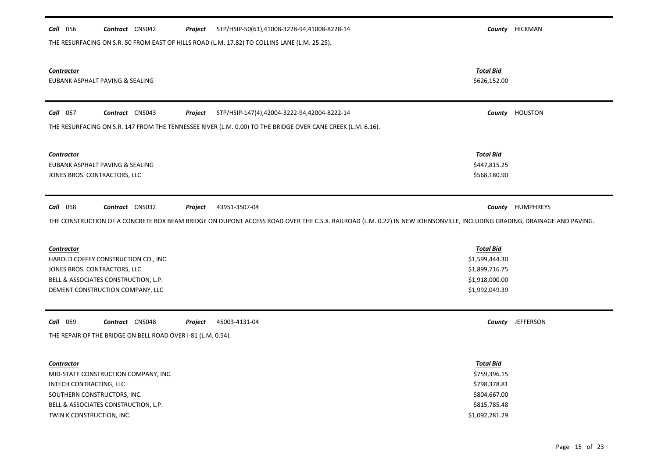| <b>Call</b> 056           | Contract CNS042                                              | Project | STP/HSIP-50(61),41008-3228-94,41008-8228-14                                                                                                                                             |                                  | County HICKMAN          |
|---------------------------|--------------------------------------------------------------|---------|-----------------------------------------------------------------------------------------------------------------------------------------------------------------------------------------|----------------------------------|-------------------------|
|                           |                                                              |         | THE RESURFACING ON S.R. 50 FROM EAST OF HILLS ROAD (L.M. 17.82) TO COLLINS LANE (L.M. 25.25).                                                                                           |                                  |                         |
| <b>Contractor</b>         | EUBANK ASPHALT PAVING & SEALING                              |         |                                                                                                                                                                                         | <b>Total Bid</b><br>\$626,152.00 |                         |
| Call 057                  | Contract CNS043                                              | Project | STP/HSIP-147(4),42004-3222-94,42004-8222-14                                                                                                                                             |                                  | County HOUSTON          |
|                           |                                                              |         | THE RESURFACING ON S.R. 147 FROM THE TENNESSEE RIVER (L.M. 0.00) TO THE BRIDGE OVER CANE CREEK (L.M. 6.16).                                                                             |                                  |                         |
| <b>Contractor</b>         |                                                              |         |                                                                                                                                                                                         | <b>Total Bid</b>                 |                         |
|                           | EUBANK ASPHALT PAVING & SEALING                              |         |                                                                                                                                                                                         | \$447,815.25                     |                         |
|                           | JONES BROS. CONTRACTORS, LLC                                 |         |                                                                                                                                                                                         | \$568,180.90                     |                         |
| <b>Call</b> 058           | Contract CNS032                                              | Project | 43951-3507-04<br>THE CONSTRUCTION OF A CONCRETE BOX BEAM BRIDGE ON DUPONT ACCESS ROAD OVER THE C.S.X. RAILROAD (L.M. 0.22) IN NEW JOHNSONVILLE, INCLUDING GRADING, DRAINAGE AND PAVING. |                                  | <b>County HUMPHREYS</b> |
| <b>Contractor</b>         |                                                              |         |                                                                                                                                                                                         | <b>Total Bid</b>                 |                         |
|                           | HAROLD COFFEY CONSTRUCTION CO., INC.                         |         |                                                                                                                                                                                         | \$1,599,444.30                   |                         |
|                           | JONES BROS. CONTRACTORS, LLC                                 |         |                                                                                                                                                                                         | \$1,899,716.75                   |                         |
|                           | BELL & ASSOCIATES CONSTRUCTION, L.P.                         |         |                                                                                                                                                                                         | \$1,918,000.00                   |                         |
|                           | DEMENT CONSTRUCTION COMPANY, LLC                             |         |                                                                                                                                                                                         | \$1,992,049.39                   |                         |
| Call 059                  | Contract CNS048                                              | Project | 45003-4131-04                                                                                                                                                                           |                                  | County JEFFERSON        |
|                           | THE REPAIR OF THE BRIDGE ON BELL ROAD OVER I-81 (L.M. 0.54). |         |                                                                                                                                                                                         |                                  |                         |
| Contractor                |                                                              |         |                                                                                                                                                                                         | <b>Total Bid</b>                 |                         |
|                           | MID-STATE CONSTRUCTION COMPANY, INC.                         |         |                                                                                                                                                                                         | \$759,396.15                     |                         |
| INTECH CONTRACTING, LLC   |                                                              |         |                                                                                                                                                                                         | \$798,378.81                     |                         |
|                           | SOUTHERN CONSTRUCTORS, INC.                                  |         |                                                                                                                                                                                         | \$804,667.00                     |                         |
|                           | BELL & ASSOCIATES CONSTRUCTION, L.P.                         |         |                                                                                                                                                                                         | \$815,785.48                     |                         |
| TWIN K CONSTRUCTION, INC. |                                                              |         |                                                                                                                                                                                         | \$1,092,281.29                   |                         |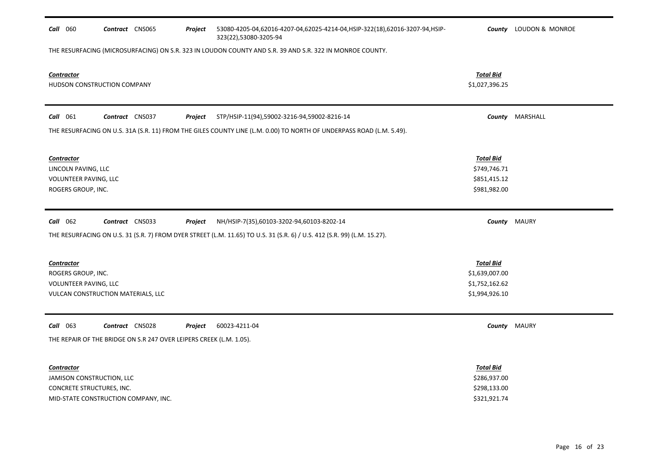| <b>Call</b> 060                                                                                        | Contract CNS065 |                 | Project | 53080-4205-04,62016-4207-04,62025-4214-04,HSIP-322(18),62016-3207-94,HSIP-<br>323(22),53080-3205-94                      |                                                                        | <b>County</b> LOUDON & MONROE |
|--------------------------------------------------------------------------------------------------------|-----------------|-----------------|---------|--------------------------------------------------------------------------------------------------------------------------|------------------------------------------------------------------------|-------------------------------|
|                                                                                                        |                 |                 |         | THE RESURFACING (MICROSURFACING) ON S.R. 323 IN LOUDON COUNTY AND S.R. 39 AND S.R. 322 IN MONROE COUNTY.                 |                                                                        |                               |
| Contractor<br>HUDSON CONSTRUCTION COMPANY                                                              |                 |                 |         |                                                                                                                          | <b>Total Bid</b><br>\$1,027,396.25                                     |                               |
| Call 061                                                                                               | Contract CNS037 |                 | Project | STP/HSIP-11(94),59002-3216-94,59002-8216-14                                                                              |                                                                        | County MARSHALL               |
|                                                                                                        |                 |                 |         | THE RESURFACING ON U.S. 31A (S.R. 11) FROM THE GILES COUNTY LINE (L.M. 0.00) TO NORTH OF UNDERPASS ROAD (L.M. 5.49).     |                                                                        |                               |
| <b>Contractor</b><br>LINCOLN PAVING, LLC<br>VOLUNTEER PAVING, LLC<br>ROGERS GROUP, INC.                |                 |                 |         |                                                                                                                          | <b>Total Bid</b><br>\$749,746.71<br>\$851,415.12<br>\$981,982.00       |                               |
| Call 062                                                                                               |                 | Contract CNS033 | Project | NH/HSIP-7(35),60103-3202-94,60103-8202-14                                                                                |                                                                        | <b>County</b> MAURY           |
|                                                                                                        |                 |                 |         |                                                                                                                          |                                                                        |                               |
|                                                                                                        |                 |                 |         | THE RESURFACING ON U.S. 31 (S.R. 7) FROM DYER STREET (L.M. 11.65) TO U.S. 31 (S.R. 6) / U.S. 412 (S.R. 99) (L.M. 15.27). |                                                                        |                               |
| <b>Contractor</b><br>ROGERS GROUP, INC.<br>VOLUNTEER PAVING, LLC<br>VULCAN CONSTRUCTION MATERIALS, LLC |                 |                 |         |                                                                                                                          | <b>Total Bid</b><br>\$1,639,007.00<br>\$1,752,162.62<br>\$1,994,926.10 |                               |
| Call 063                                                                                               | Contract CNS028 |                 | Project | 60023-4211-04                                                                                                            |                                                                        | <b>County</b> MAURY           |
| THE REPAIR OF THE BRIDGE ON S.R 247 OVER LEIPERS CREEK (L.M. 1.05).                                    |                 |                 |         |                                                                                                                          |                                                                        |                               |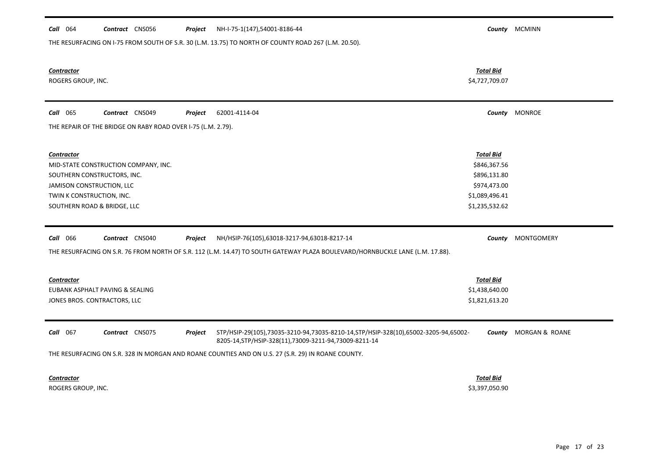| Call 064<br>Contract CNS056<br>NH-I-75-1(147),54001-8186-44<br>Project<br>THE RESURFACING ON I-75 FROM SOUTH OF S.R. 30 (L.M. 13.75) TO NORTH OF COUNTY ROAD 267 (L.M. 20.50).                                                                                                                |                                                                                                      | County MCMINN                |
|-----------------------------------------------------------------------------------------------------------------------------------------------------------------------------------------------------------------------------------------------------------------------------------------------|------------------------------------------------------------------------------------------------------|------------------------------|
| <b>Contractor</b><br>ROGERS GROUP, INC.                                                                                                                                                                                                                                                       | <b>Total Bid</b><br>\$4,727,709.07                                                                   |                              |
| <b>Call</b> 065<br>Contract CNS049<br>Project<br>62001-4114-04                                                                                                                                                                                                                                |                                                                                                      | County MONROE                |
| THE REPAIR OF THE BRIDGE ON RABY ROAD OVER I-75 (L.M. 2.79).                                                                                                                                                                                                                                  |                                                                                                      |                              |
| <b>Contractor</b><br>MID-STATE CONSTRUCTION COMPANY, INC.<br>SOUTHERN CONSTRUCTORS, INC.<br>JAMISON CONSTRUCTION, LLC<br>TWIN K CONSTRUCTION, INC.<br>SOUTHERN ROAD & BRIDGE, LLC                                                                                                             | <b>Total Bid</b><br>\$846,367.56<br>\$896,131.80<br>\$974,473.00<br>\$1,089,496.41<br>\$1,235,532.62 |                              |
| Call 066<br>Contract CNS040<br>Project<br>NH/HSIP-76(105),63018-3217-94,63018-8217-14                                                                                                                                                                                                         |                                                                                                      | County MONTGOMERY            |
| THE RESURFACING ON S.R. 76 FROM NORTH OF S.R. 112 (L.M. 14.47) TO SOUTH GATEWAY PLAZA BOULEVARD/HORNBUCKLE LANE (L.M. 17.88).                                                                                                                                                                 |                                                                                                      |                              |
| <b>Contractor</b><br>EUBANK ASPHALT PAVING & SEALING<br>JONES BROS. CONTRACTORS, LLC                                                                                                                                                                                                          | <b>Total Bid</b><br>\$1,438,640.00<br>\$1,821,613.20                                                 |                              |
| Call 067<br>Contract CNS075<br>Project<br>STP/HSIP-29(105),73035-3210-94,73035-8210-14,STP/HSIP-328(10),65002-3205-94,65002-<br>8205-14, STP/HSIP-328(11), 73009-3211-94, 73009-8211-14<br>THE RESURFACING ON S.R. 328 IN MORGAN AND ROANE COUNTIES AND ON U.S. 27 (S.R. 29) IN ROANE COUNTY. |                                                                                                      | <b>County</b> MORGAN & ROANE |

*Contractor Total Bid*

ROGERS GROUP, INC. \$3,397,050.90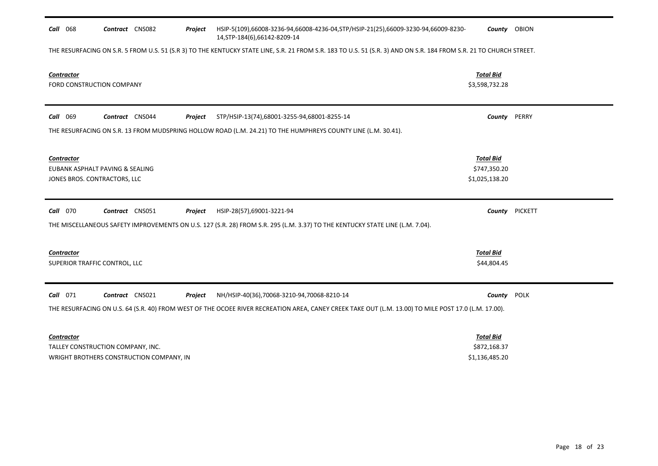| Call 068                                                                             | Contract CNS082 |                                          | Project | HSIP-5(109),66008-3236-94,66008-4236-04,STP/HSIP-21(25),66009-3230-94,66009-8230-<br>14, STP-184(6), 66142-8209-14                                                  | County OBION                                       |             |
|--------------------------------------------------------------------------------------|-----------------|------------------------------------------|---------|---------------------------------------------------------------------------------------------------------------------------------------------------------------------|----------------------------------------------------|-------------|
|                                                                                      |                 |                                          |         | THE RESURFACING ON S.R. 5 FROM U.S. 51 (S.R 3) TO THE KENTUCKY STATE LINE, S.R. 21 FROM S.R. 183 TO U.S. 51 (S.R. 3) AND ON S.R. 184 FROM S.R. 21 TO CHURCH STREET. |                                                    |             |
| <b>Contractor</b><br>FORD CONSTRUCTION COMPANY                                       |                 |                                          |         |                                                                                                                                                                     | <b>Total Bid</b><br>\$3,598,732.28                 |             |
| Call 069                                                                             | Contract CNS044 |                                          | Project | STP/HSIP-13(74),68001-3255-94,68001-8255-14                                                                                                                         | County                                             | PERRY       |
|                                                                                      |                 |                                          |         | THE RESURFACING ON S.R. 13 FROM MUDSPRING HOLLOW ROAD (L.M. 24.21) TO THE HUMPHREYS COUNTY LINE (L.M. 30.41).                                                       |                                                    |             |
| <b>Contractor</b><br>EUBANK ASPHALT PAVING & SEALING<br>JONES BROS. CONTRACTORS, LLC |                 |                                          |         |                                                                                                                                                                     | <b>Total Bid</b><br>\$747,350.20<br>\$1,025,138.20 |             |
| Call 070                                                                             | Contract CNS051 |                                          | Project | HSIP-28(57),69001-3221-94                                                                                                                                           | County                                             | PICKETT     |
|                                                                                      |                 |                                          |         | THE MISCELLANEOUS SAFETY IMPROVEMENTS ON U.S. 127 (S.R. 28) FROM S.R. 295 (L.M. 3.37) TO THE KENTUCKY STATE LINE (L.M. 7.04).                                       |                                                    |             |
| <b>Contractor</b><br>SUPERIOR TRAFFIC CONTROL, LLC                                   |                 |                                          |         |                                                                                                                                                                     | <b>Total Bid</b><br>\$44,804.45                    |             |
| <b>Call</b> 071                                                                      | Contract CNS021 |                                          | Project | NH/HSIP-40(36),70068-3210-94,70068-8210-14                                                                                                                          | County                                             | <b>POLK</b> |
|                                                                                      |                 |                                          |         | THE RESURFACING ON U.S. 64 (S.R. 40) FROM WEST OF THE OCOEE RIVER RECREATION AREA, CANEY CREEK TAKE OUT (L.M. 13.00) TO MILE POST 17.0 (L.M. 17.00).                |                                                    |             |
| <b>Contractor</b>                                                                    |                 |                                          |         |                                                                                                                                                                     | <b>Total Bid</b>                                   |             |
| TALLEY CONSTRUCTION COMPANY, INC.                                                    |                 | WRIGHT BROTHERS CONSTRUCTION COMPANY, IN |         |                                                                                                                                                                     | \$872,168.37<br>\$1,136,485.20                     |             |
|                                                                                      |                 |                                          |         |                                                                                                                                                                     |                                                    |             |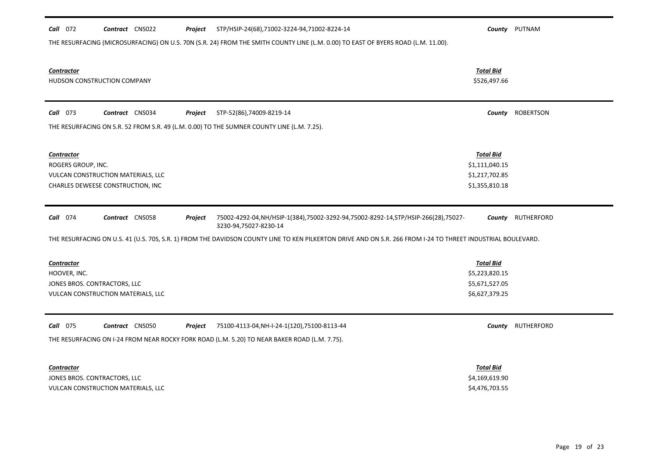| <b>Call</b> 072<br>Contract CNS022<br>STP/HSIP-24(68),71002-3224-94,71002-8224-14<br>Project                                                                 | County                           | PUTNAM           |
|--------------------------------------------------------------------------------------------------------------------------------------------------------------|----------------------------------|------------------|
| THE RESURFACING (MICROSURFACING) ON U.S. 70N (S.R. 24) FROM THE SMITH COUNTY LINE (L.M. 0.00) TO EAST OF BYERS ROAD (L.M. 11.00).                            |                                  |                  |
|                                                                                                                                                              |                                  |                  |
| <b>Contractor</b>                                                                                                                                            | <b>Total Bid</b>                 |                  |
| HUDSON CONSTRUCTION COMPANY                                                                                                                                  | \$526,497.66                     |                  |
|                                                                                                                                                              |                                  |                  |
| <b>Call</b> 073<br>Contract CNS034<br>STP-52(86),74009-8219-14<br>Project                                                                                    | County                           | <b>ROBERTSON</b> |
| THE RESURFACING ON S.R. 52 FROM S.R. 49 (L.M. 0.00) TO THE SUMNER COUNTY LINE (L.M. 7.25).                                                                   |                                  |                  |
|                                                                                                                                                              |                                  |                  |
| <b>Contractor</b>                                                                                                                                            | <b>Total Bid</b>                 |                  |
| ROGERS GROUP, INC.                                                                                                                                           | \$1,111,040.15                   |                  |
| VULCAN CONSTRUCTION MATERIALS, LLC                                                                                                                           | \$1,217,702.85                   |                  |
| CHARLES DEWEESE CONSTRUCTION, INC                                                                                                                            | \$1,355,810.18                   |                  |
|                                                                                                                                                              |                                  |                  |
| Call 074<br>Contract CNS058<br>Project<br>75002-4292-04, NH/HSIP-1(384), 75002-3292-94, 75002-8292-14, STP/HSIP-266(28), 75027-                              | County                           | RUTHERFORD       |
| 3230-94,75027-8230-14                                                                                                                                        |                                  |                  |
| THE RESURFACING ON U.S. 41 (U.S. 70S, S.R. 1) FROM THE DAVIDSON COUNTY LINE TO KEN PILKERTON DRIVE AND ON S.R. 266 FROM I-24 TO THREET INDUSTRIAL BOULEVARD. |                                  |                  |
|                                                                                                                                                              |                                  |                  |
| <b>Contractor</b>                                                                                                                                            | <b>Total Bid</b>                 |                  |
| HOOVER, INC.                                                                                                                                                 | \$5,223,820.15                   |                  |
| JONES BROS. CONTRACTORS, LLC                                                                                                                                 | \$5,671,527.05                   |                  |
| VULCAN CONSTRUCTION MATERIALS, LLC                                                                                                                           | \$6,627,379.25                   |                  |
|                                                                                                                                                              |                                  |                  |
| <b>Call</b> 075<br>Contract CNS050<br>75100-4113-04, NH-I-24-1(120), 75100-8113-44<br>Project                                                                | County                           | RUTHERFORD       |
| THE RESURFACING ON I-24 FROM NEAR ROCKY FORK ROAD (L.M. 5.20) TO NEAR BAKER ROAD (L.M. 7.75).                                                                |                                  |                  |
|                                                                                                                                                              |                                  |                  |
| <b>Contractor</b>                                                                                                                                            | <b>Total Bid</b>                 |                  |
| JONES BROS. CONTRACTORS, LLC<br>VULCAN CONSTRUCTION MATERIALS, LLC                                                                                           | \$4,169,619.90<br>\$4,476,703.55 |                  |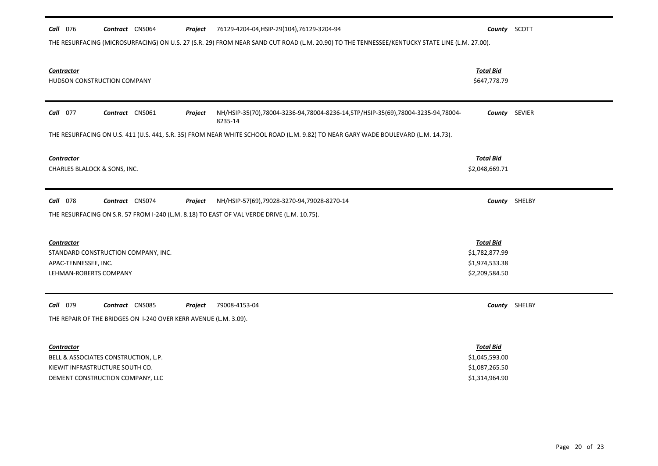| Call 076<br>Contract CNS064                                      | Project | 76129-4204-04, HSIP-29(104), 76129-3204-94                                                                                                    |                  | County SCOTT  |
|------------------------------------------------------------------|---------|-----------------------------------------------------------------------------------------------------------------------------------------------|------------------|---------------|
|                                                                  |         | THE RESURFACING (MICROSURFACING) ON U.S. 27 (S.R. 29) FROM NEAR SAND CUT ROAD (L.M. 20.90) TO THE TENNESSEE/KENTUCKY STATE LINE (L.M. 27.00). |                  |               |
|                                                                  |         |                                                                                                                                               |                  |               |
| <b>Contractor</b>                                                |         |                                                                                                                                               | <b>Total Bid</b> |               |
| HUDSON CONSTRUCTION COMPANY                                      |         |                                                                                                                                               | \$647,778.79     |               |
|                                                                  |         |                                                                                                                                               |                  |               |
| Call 077<br>Contract CNS061                                      | Project | NH/HSIP-35(70),78004-3236-94,78004-8236-14, STP/HSIP-35(69), 78004-3235-94,78004-<br>8235-14                                                  |                  | County SEVIER |
|                                                                  |         | THE RESURFACING ON U.S. 411 (U.S. 441, S.R. 35) FROM NEAR WHITE SCHOOL ROAD (L.M. 9.82) TO NEAR GARY WADE BOULEVARD (L.M. 14.73).             |                  |               |
|                                                                  |         |                                                                                                                                               |                  |               |
| <b>Contractor</b>                                                |         |                                                                                                                                               | <b>Total Bid</b> |               |
| CHARLES BLALOCK & SONS, INC.                                     |         |                                                                                                                                               | \$2,048,669.71   |               |
|                                                                  |         |                                                                                                                                               |                  |               |
| Call 078<br>Contract CNS074                                      | Project | NH/HSIP-57(69),79028-3270-94,79028-8270-14                                                                                                    |                  | County SHELBY |
|                                                                  |         | THE RESURFACING ON S.R. 57 FROM I-240 (L.M. 8.18) TO EAST OF VAL VERDE DRIVE (L.M. 10.75).                                                    |                  |               |
|                                                                  |         |                                                                                                                                               |                  |               |
| <b>Contractor</b>                                                |         |                                                                                                                                               | <b>Total Bid</b> |               |
| STANDARD CONSTRUCTION COMPANY, INC.                              |         |                                                                                                                                               | \$1,782,877.99   |               |
| APAC-TENNESSEE, INC.                                             |         |                                                                                                                                               | \$1,974,533.38   |               |
| LEHMAN-ROBERTS COMPANY                                           |         |                                                                                                                                               | \$2,209,584.50   |               |
|                                                                  |         |                                                                                                                                               |                  |               |
| <b>Call</b> 079<br>Contract CNS085                               | Project | 79008-4153-04                                                                                                                                 |                  | County SHELBY |
| THE REPAIR OF THE BRIDGES ON 1-240 OVER KERR AVENUE (L.M. 3.09). |         |                                                                                                                                               |                  |               |
|                                                                  |         |                                                                                                                                               |                  |               |
| <b>Contractor</b>                                                |         |                                                                                                                                               | <b>Total Bid</b> |               |
| BELL & ASSOCIATES CONSTRUCTION, L.P.                             |         |                                                                                                                                               | \$1,045,593.00   |               |
| KIEWIT INFRASTRUCTURE SOUTH CO.                                  |         |                                                                                                                                               | \$1,087,265.50   |               |
| DEMENT CONSTRUCTION COMPANY, LLC                                 |         |                                                                                                                                               | \$1,314,964.90   |               |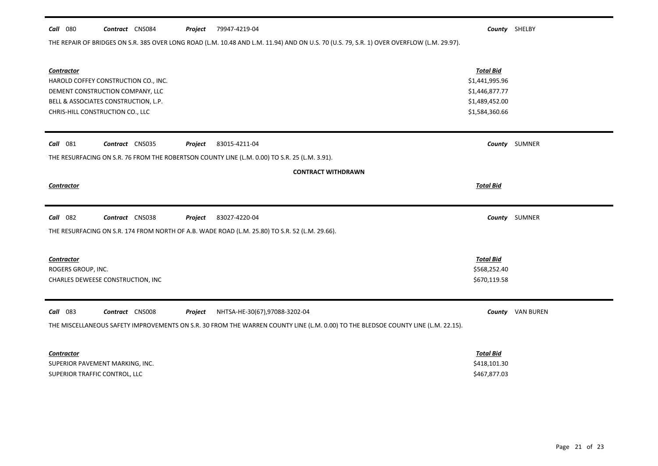### *Call* 080 *Contract* CNS084 *Project County* SHELBY 79947-4219-04

THE REPAIR OF BRIDGES ON S.R. 385 OVER LONG ROAD (L.M. 10.48 AND L.M. 11.94) AND ON U.S. 70 (U.S. 79, S.R. 1) OVER OVERFLOW (L.M. 29.97).

| Contractor<br>CHRIS-HILL CONSTRUCTION CO., LLC | HAROLD COFFEY CONSTRUCTION CO., INC.<br>DEMENT CONSTRUCTION COMPANY, LLC<br>BELL & ASSOCIATES CONSTRUCTION, L.P. |         |                                                                                                                                   | <b>Total Bid</b><br>\$1,441,995.96<br>\$1,446,877.77<br>\$1,489,452.00<br>\$1,584,360.66 |                         |
|------------------------------------------------|------------------------------------------------------------------------------------------------------------------|---------|-----------------------------------------------------------------------------------------------------------------------------------|------------------------------------------------------------------------------------------|-------------------------|
| <b>Call</b> 081                                | Contract CNS035                                                                                                  | Project | 83015-4211-04                                                                                                                     |                                                                                          | County SUMNER           |
|                                                |                                                                                                                  |         | THE RESURFACING ON S.R. 76 FROM THE ROBERTSON COUNTY LINE (L.M. 0.00) TO S.R. 25 (L.M. 3.91).                                     |                                                                                          |                         |
|                                                |                                                                                                                  |         | <b>CONTRACT WITHDRAWN</b>                                                                                                         |                                                                                          |                         |
| Contractor                                     |                                                                                                                  |         |                                                                                                                                   | <b>Total Bid</b>                                                                         |                         |
|                                                |                                                                                                                  |         |                                                                                                                                   |                                                                                          |                         |
| <b>Call</b> 082                                | Contract CNS038                                                                                                  | Project | 83027-4220-04                                                                                                                     |                                                                                          | County SUMNER           |
|                                                |                                                                                                                  |         | THE RESURFACING ON S.R. 174 FROM NORTH OF A.B. WADE ROAD (L.M. 25.80) TO S.R. 52 (L.M. 29.66).                                    |                                                                                          |                         |
|                                                |                                                                                                                  |         |                                                                                                                                   |                                                                                          |                         |
| <b>Contractor</b>                              |                                                                                                                  |         |                                                                                                                                   | <b>Total Bid</b>                                                                         |                         |
| ROGERS GROUP, INC.                             |                                                                                                                  |         |                                                                                                                                   | \$568,252.40                                                                             |                         |
|                                                | CHARLES DEWEESE CONSTRUCTION, INC                                                                                |         |                                                                                                                                   | \$670,119.58                                                                             |                         |
|                                                |                                                                                                                  |         |                                                                                                                                   |                                                                                          |                         |
| Call 083                                       | Contract CNS008                                                                                                  | Project | NHTSA-HE-30(67),97088-3202-04                                                                                                     |                                                                                          | <b>County</b> VAN BUREN |
|                                                |                                                                                                                  |         | THE MISCELLANEOUS SAFETY IMPROVEMENTS ON S.R. 30 FROM THE WARREN COUNTY LINE (L.M. 0.00) TO THE BLEDSOE COUNTY LINE (L.M. 22.15). |                                                                                          |                         |
|                                                |                                                                                                                  |         |                                                                                                                                   |                                                                                          |                         |
| Contractor                                     |                                                                                                                  |         |                                                                                                                                   | <b>Total Bid</b>                                                                         |                         |
| SUPERIOR PAVEMENT MARKING, INC.                |                                                                                                                  |         |                                                                                                                                   | \$418,101.30                                                                             |                         |
| SUPERIOR TRAFFIC CONTROL, LLC                  |                                                                                                                  |         |                                                                                                                                   | \$467,877.03                                                                             |                         |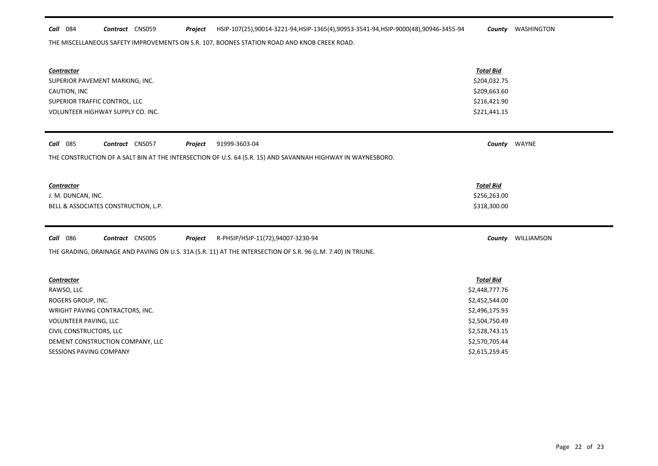## *Call* 084 *Contract* CNS059 *Project County* WASHINGTON HSIP-107(25),90014-3221-94,HSIP-1365(4),90953-3541-94,HSIP-9000(48),90946-3455-94

THE MISCELLANEOUS SAFETY IMPROVEMENTS ON S.R. 107, BOONES STATION ROAD AND KNOB CREEK ROAD.

 $\blacksquare$ 

 $\blacksquare$ 

| <b>Contractor</b><br>SUPERIOR PAVEMENT MARKING, INC.<br>CAUTION, INC<br>SUPERIOR TRAFFIC CONTROL, LLC<br>VOLUNTEER HIGHWAY SUPPLY CO. INC. | <b>Total Bid</b><br>\$204,032.75<br>\$209,663.60<br>\$216,421.90<br>\$221,441.15 |            |
|--------------------------------------------------------------------------------------------------------------------------------------------|----------------------------------------------------------------------------------|------------|
| <b>Call</b> 085<br>Contract CNS057<br>91999-3603-04<br>Project                                                                             | County WAYNE                                                                     |            |
| THE CONSTRUCTION OF A SALT BIN AT THE INTERSECTION OF U.S. 64 (S.R. 15) AND SAVANNAH HIGHWAY IN WAYNESBORO.                                |                                                                                  |            |
| <b>Contractor</b>                                                                                                                          | <b>Total Bid</b>                                                                 |            |
| J. M. DUNCAN, INC.                                                                                                                         | \$256,263.00                                                                     |            |
| BELL & ASSOCIATES CONSTRUCTION, L.P.                                                                                                       | \$318,300.00                                                                     |            |
|                                                                                                                                            |                                                                                  |            |
| <b>Call</b> 086<br>Contract CNS005<br>R-PHSIP/HSIP-11(72),94007-3230-94<br>Project                                                         | County                                                                           | WILLIAMSON |
| THE GRADING, DRAINAGE AND PAVING ON U.S. 31A (S.R. 11) AT THE INTERSECTION OF S.R. 96 (L.M. 7.40) IN TRIUNE.                               |                                                                                  |            |
| <b>Contractor</b>                                                                                                                          | <b>Total Bid</b>                                                                 |            |
| RAWSO, LLC                                                                                                                                 | \$2,448,777.76                                                                   |            |
| ROGERS GROUP, INC.                                                                                                                         | \$2,452,544.00                                                                   |            |
| WRIGHT PAVING CONTRACTORS, INC.                                                                                                            | \$2,496,175.93                                                                   |            |
| VOLUNTEER PAVING, LLC                                                                                                                      | \$2,504,750.49                                                                   |            |
| CIVIL CONSTRUCTORS, LLC                                                                                                                    | \$2,528,743.15                                                                   |            |
| DEMENT CONSTRUCTION COMPANY, LLC<br><b>SESSIONS PAVING COMPANY</b>                                                                         | \$2,570,705.44<br>\$2,615,259.45                                                 |            |